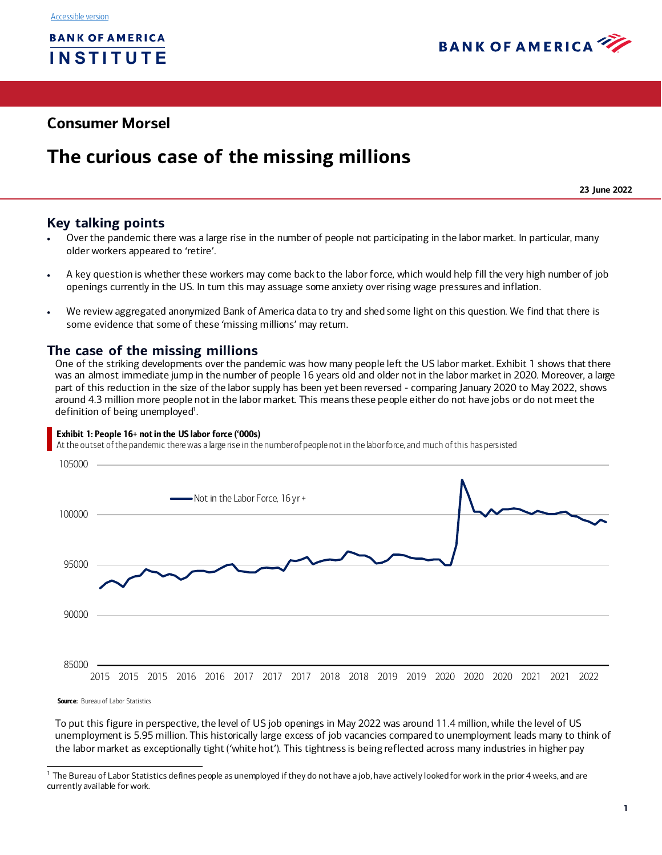

# **Consumer Morsel**

# **The curious case of the missing millions**

**23 June 2022**

# **Key talking points**

- Over the pandemic there was a large rise in the number of people not participating in the labor market. In particular, many older workers appeared to 'retire'.
- A key question is whether these workers may come back to the labor force, which would help fill the very high number of job openings currently in the US. In turn this may assuage some anxiety over rising wage pressures and inflation.
- We review aggregated anonymized Bank of America data to try and shed some light on this question. We find that there is some evidence that some of these 'missing millions' may return.

## **The case of the missing millions**

One of the striking developments over the pandemic was how many people left the US labor market[. Exhibit 1](#page-0-0) shows that there was an almost immediate jump in the number of people 16 years old and older not in the labor market in 2020. Moreover, a large part of this reduction in the size of the labor supply has been yet been reversed - comparing January 2020 to May 2022, shows around 4.3 million more people not in the labor market. This means these people either do not have jobs or do not meet the definition of being unemployed<sup>1</sup>.

#### <span id="page-0-0"></span>Exhibit 1: People 16+ not in the US labor force ('000s)

At the outset of the pandemic there was a large rise in the number of people not in the labor force, and much of this has persisted



**Source:** Bureau of Labor Statistics

To put this figure in perspective, the level of US job openings in May 2022 was around 11.4 million, while the level of US unemployment is 5.95 million. This historically large excess of job vacancies compared to unemployment leads many to think of the labor market as exceptionally tight ('white hot'). This tightness is being reflected across many industries in higher pay

 $1$  The Bureau of Labor Statistics defines people as unemployed if they do not have a job, have actively looked for work in the prior 4 weeks, and are currently available for work.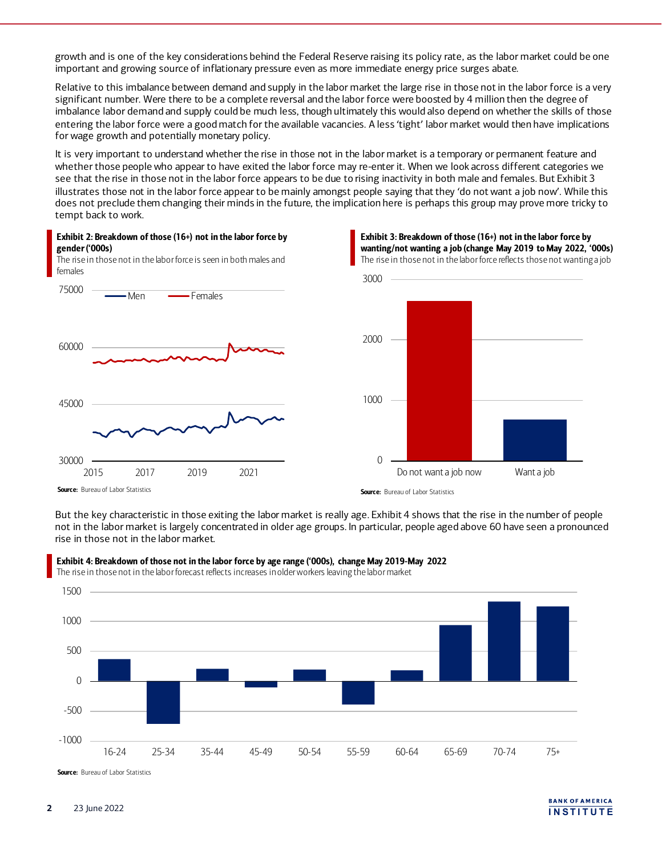growth and is one of the key considerations behind the Federal Reserve raising its policy rate, as the labor market could be one important and growing source of inflationary pressure even as more immediate energy price surges abate.

Relative to this imbalance between demand and supply in the labor market the large rise in those not in the labor force is a very significant number. Were there to be a complete reversal and the labor force were boosted by 4 million then the degree of imbalance labor demand and supply could be much less, though ultimately this would also depend on whether the skills of those entering the labor force were a good match for the available vacancies. A less 'tight' labor market would then have implications for wage growth and potentially monetary policy.

It is very important to understand whether the rise in those not in the labor market is a temporary or permanent feature and whether those people who appear to have exited the labor force may re-enter it. When we look across different categories we see that the rise in those not in the labor force appears to be due to rising inactivity in both male and females. Bu[t Exhibit 3](#page-1-0) illustrates those not in the labor force appear to be mainly amongst people saying that they 'do not want a job now'. While this does not preclude them changing their minds in the future, the implication here is perhaps this group may prove more tricky to tempt back to work.





Do not want a job now Want a job

<span id="page-1-0"></span>Exhibit 3: Breakdown of those (16+) not in the labor force by

**Source:** Bureau of Labor Statistics

 $\Omega$ 

But the key characteristic in those exiting the labor market is really ag[e. Exhibit 4](#page-1-1) shows that the rise in the number of people not in the labor market is largely concentrated in older age groups. In particular, people aged above 60 have seen a pronounced rise in those not in the labor market.



<span id="page-1-1"></span>Exhibit 4: Breakdown of those not in the labor force by age range ('000s), change May 2019-May 2022 The rise in those not in the labor forecast reflects increases in older workers leaving the labor market

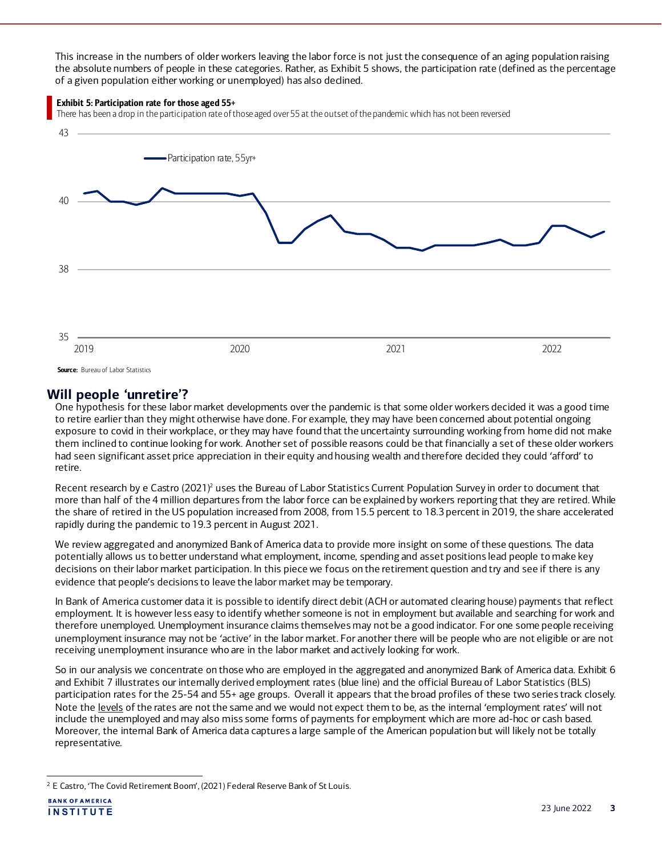This increase in the numbers of older workers leaving the labor force is not just the consequence of an aging population raising the absolute numbers of people in these categories. Rather, a[s Exhibit 5](#page-2-0) shows, the participation rate (defined as the percentage of a given population either working or unemployed) has also declined.

#### <span id="page-2-0"></span>Exhibit 5: Participation rate for those aged 55+

There has been a drop in the participation rate of those aged over 55 at the outset of the pandemic which has not been reversed



## **Will people 'unretire'?**

One hypothesis for these labor market developments over the pandemic is that some older workers decided it was a good time to retire earlier than they might otherwise have done. For example, they may have been concerned about potential ongoing exposure to covid in their workplace, or they may have found that the uncertainty surrounding working from home did not make them inclined to continue looking for work. Another set of possible reasons could be that financially a set of these older workers had seen significant asset price appreciation in their equity and housing wealth and therefore decided they could 'afford' to retire.

Recent research by e Castro (2021) <sup>2</sup> uses the Bureau of Labor Statistics Current Population Survey in order to document that more than half of the 4 million departures from the labor force can be explained by workers reporting that they are retired. While the share of retired in the US population increased from 2008, from 15.5 percent to 18.3 percent in 2019, the share accelerated rapidly during the pandemic to 19.3 percent in August 2021.

We review aggregated and anonymized Bank of America data to provide more insight on some of these questions. The data potentially allows us to better understand what employment, income, spending and asset positions lead people to make key decisions on their labor market participation. In this piece we focus on the retirement question and try and see if there is any evidence that people's decisions to leave the labor market may be temporary.

In Bank of America customer data it is possible to identify direct debit (ACH or automated clearing house) payments that reflect employment. It is however less easy to identify whether someone is not in employment but available and searching for work and therefore unemployed. Unemployment insurance claims themselves may not be a good indicator. For one some people receiving unemployment insurance may not be 'active' in the labor market. For another there will be people who are not eligible or are not receiving unemployment insurance who are in the labor market and actively looking for work.

So in our analysis we concentrate on those who are employed in the aggregated and anonymized Bank of America dat[a. Exhibit 6](#page-3-0) and [Exhibit 7](#page-3-1) illustrates our internally derived employment rates (blue line) and the official Bureau of Labor Statistics (BLS) participation rates for the 25-54 and 55+ age groups. Overall it appears that the broad profiles of these two series track closely. Note the levels of the rates are not the same and we would not expect them to be, as the internal 'employment rates' will not include the unemployed and may also miss some forms of payments for employment which are more ad-hoc or cash based. Moreover, the internal Bank of America data captures a large sample of the American population but will likely not be totally representative.

<sup>&</sup>lt;sup>2</sup> E Castro, 'The Covid Retirement Boom', (2021) Federal Reserve Bank of St Louis.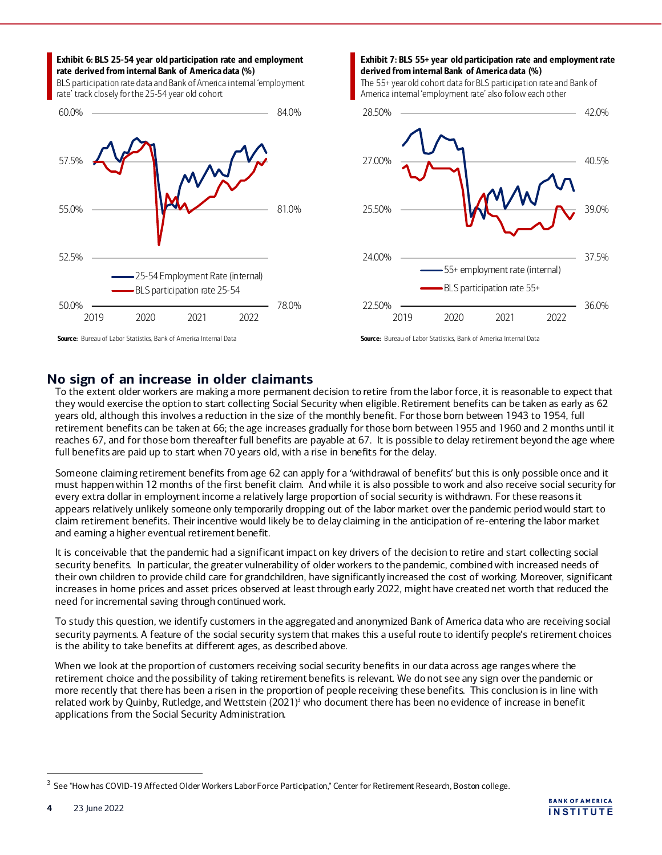#### <span id="page-3-0"></span>Exhibit 6: BLS 25-54 year old participation rate and employment rate derived from internal Bank of America data (%)

BLS participation rate data and Bank of America internal 'employment rate' track closely for the 25-54 year old cohort



#### <span id="page-3-1"></span>Exhibit 7: BLS 55+ year old participation rate and employment rate derived from internal Bank of America data (%)

The 55+ year old cohort data for BLS participation rate and Bank of America internal 'employment rate' also follow each other



Source: Bureau of Labor Statistics, Bank of America Internal Data

## **No sign of an increase in older claimants**

To the extent older workers are making a more permanent decision to retire from the labor force, it is reasonable to expect that they would exercise the option to start collecting Social Security when eligible. Retirement benefits can be taken as early as 62 years old, although this involves a reduction in the size of the monthly benefit. For those born between 1943 to 1954, full retirement benefits can be taken at 66; the age increases gradually for those born between 1955 and 1960 and 2 months until it reaches 67, and for those born thereafter full benefits are payable at 67. It is possible to delay retirement beyond the age where full benefits are paid up to start when 70 years old, with a rise in benefits for the delay.

Someone claiming retirement benefits from age 62 can apply for a 'withdrawal of benefits' but this is only possible once and it must happen within 12 months of the first benefit claim. And while it is also possible to work and also receive social security for every extra dollar in employment income a relatively large proportion of social security is withdrawn. For these reasons it appears relatively unlikely someone only temporarily dropping out of the labor market over the pandemic period would start to claim retirement benefits. Their incentive would likely be to delay claiming in the anticipation of re-entering the labor market and earning a higher eventual retirement benefit.

It is conceivable that the pandemic had a significant impact on key drivers of the decision to retire and start collecting social security benefits. In particular, the greater vulnerability of older workers to the pandemic, combined with increased needs of their own children to provide child care for grandchildren, have significantly increased the cost of working. Moreover, significant increases in home prices and asset prices observed at least through early 2022, might have created net worth that reduced the need for incremental saving through continued work.

To study this question, we identify customers in the aggregated and anonymized Bank of America data who are receiving social security payments. A feature of the social security system that makes this a useful route to identify people's retirement choices is the ability to take benefits at different ages, as described above.

When we look at the proportion of customers receiving social security benefits in our data across age ranges where the retirement choice and the possibility of taking retirement benefits is relevant. We do not see any sign over the pandemic or more recently that there has been a risen in the proportion of people receiving these benefits. This conclusion is in line with related work by Quinby, Rutledge, and Wettstein  $(2021)^3$  who document there has been no evidence of increase in benefit applications from the Social Security Administration.

<sup>&</sup>lt;sup>3</sup> See "How has COVID-19 Affected Older Workers Labor Force Participation," Center for Retirement Research, Boston college.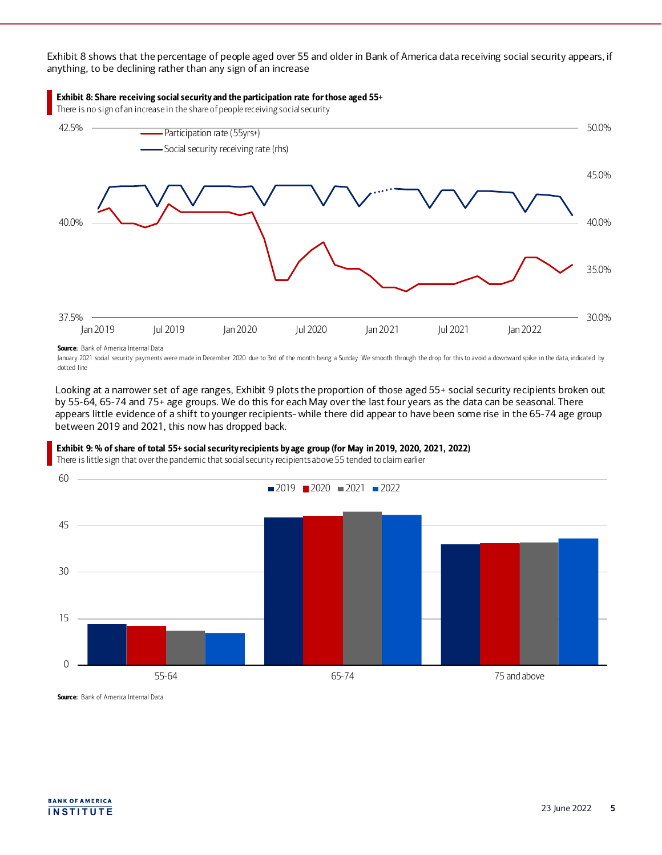[Exhibit 8](#page-4-0) shows that the percentage of people aged over 55 and older in Bank of America data receiving social security appears, if anything, to be declining rather than any sign of an increase



Source: Bank of America Internal Data

January 2021 social security payments were made in December 2020 due to 3rd of the month being a Sunday. We smooth through the drop for this to avoid a downward spike in the data, indicated by dotted line

Looking at a narrower set of age ranges[, Exhibit 9](#page-4-1) plots the proportion of those aged 55+ social security recipients broken out by 55-64, 65-74 and 75+ age groups. We do this for each May over the last four years as the data can be seasonal. There appears little evidence of a shift to younger recipients- while there did appear to have been some rise in the 65-74 age group between 2019 and 2021, this now has dropped back.

<span id="page-4-1"></span>

There is little sign that over the pandemic that social security recipients above 55 tended to claim earlier

<span id="page-4-0"></span>Exhibit 8: Share receiving social security and the participation rate for those aged 55+



Source: Bank of America Internal Data

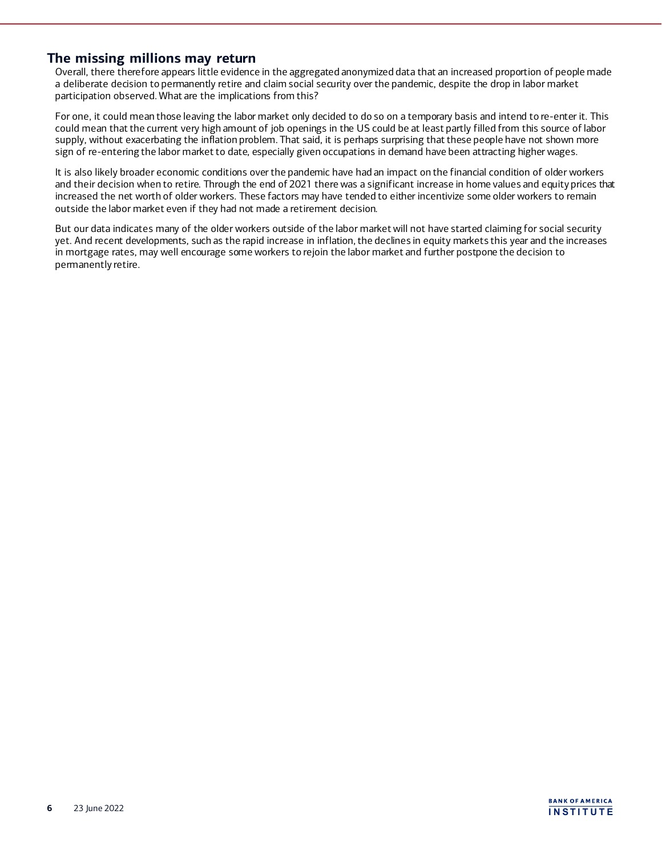## **The missing millions may return**

Overall, there therefore appears little evidence in the aggregated anonymized data that an increased proportion of people made a deliberate decision to permanently retire and claim social security over the pandemic, despite the drop in labor market participation observed. What are the implications from this?

For one, it could mean those leaving the labor market only decided to do so on a temporary basis and intend to re-enter it. This could mean that the current very high amount of job openings in the US could be at least partly filled from this source of labor supply, without exacerbating the inflation problem. That said, it is perhaps surprising that these people have not shown more sign of re-entering the labor market to date, especially given occupations in demand have been attracting higher wages.

It is also likely broader economic conditions over the pandemic have had an impact on the financial condition of older workers and their decision when to retire. Through the end of 2021 there was a significant increase in home values and equity prices that increased the net worth of older workers. These factors may have tended to either incentivize some older workers to remain outside the labor market even if they had not made a retirement decision.

But our data indicates many of the older workers outside of the labor market will not have started claiming for social security yet. And recent developments, such as the rapid increase in inflation, the declines in equity markets this year and the increases in mortgage rates, may well encourage some workers to rejoin the labor market and further postpone the decision to permanently retire.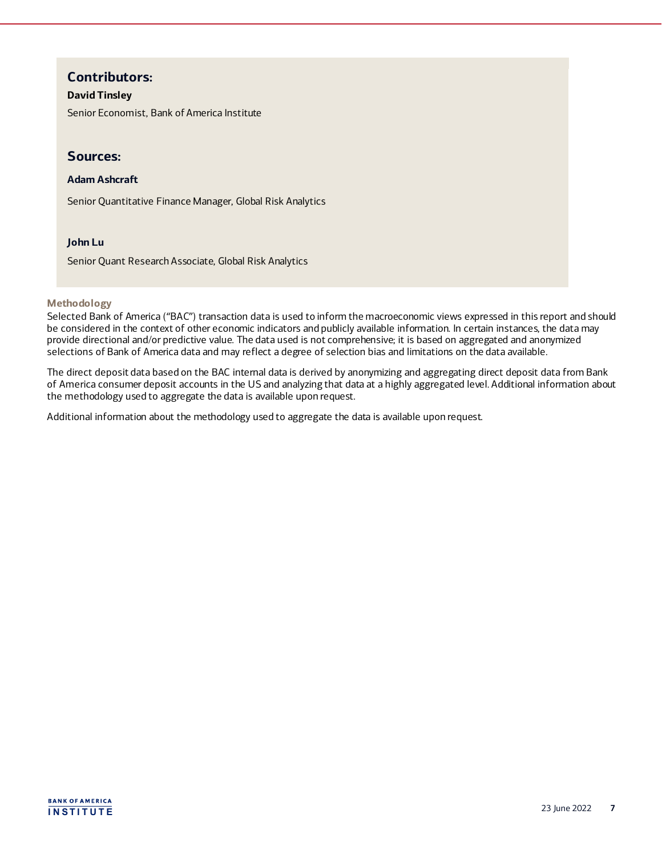# **Contributors:**

## **David Tinsley**

Senior Economist, Bank of America Institute

## **Sources:**

### **Adam Ashcraft**

Senior Quantitative Finance Manager, Global Risk Analytics

### **John Lu**

Senior Quant Research Associate, Global Risk Analytics

#### **Methodology**

Selected Bank of America ("BAC") transaction data is used to inform the macroeconomic views expressed in this report and should be considered in the context of other economic indicators and publicly available information. In certain instances, the data may provide directional and/or predictive value. The data used is not comprehensive; it is based on aggregated and anonymized selections of Bank of America data and may reflect a degree of selection bias and limitations on the data available.

The direct deposit data based on the BAC internal data is derived by anonymizing and aggregating direct deposit data from Bank of America consumer deposit accounts in the US and analyzing that data at a highly aggregated level. Additional information about the methodology used to aggregate the data is available upon request.

Additional information about the methodology used to aggregate the data is available upon request.